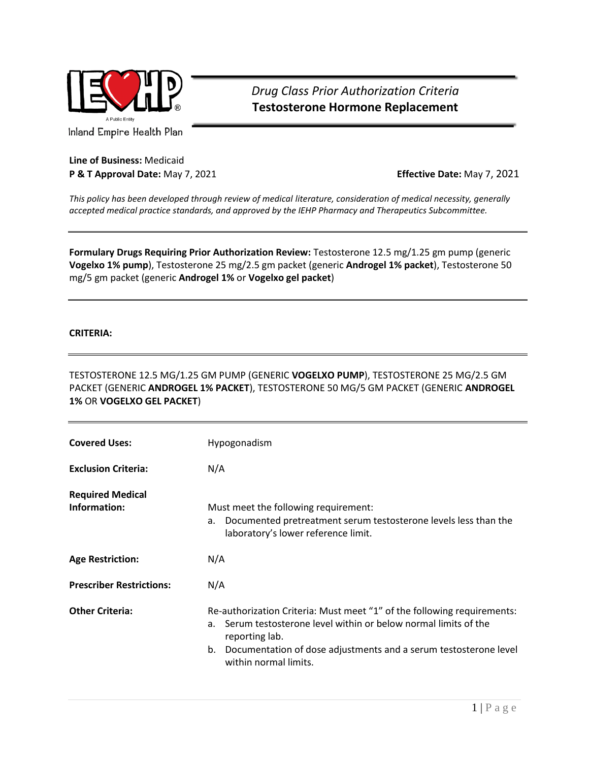

*Drug Class Prior Authorization Criteria* **Testosterone Hormone Replacement**

Inland Empire Health Plan

## **Line of Business:** Medicaid **P & T Approval Date:** May 7, 2021 **Effective Date:** May 7, 2021

*This policy has been developed through review of medical literature, consideration of medical necessity, generally accepted medical practice standards, and approved by the IEHP Pharmacy and Therapeutics Subcommittee.*

**Formulary Drugs Requiring Prior Authorization Review:** Testosterone 12.5 mg/1.25 gm pump (generic **Vogelxo 1% pump**), Testosterone 25 mg/2.5 gm packet (generic **Androgel 1% packet**), Testosterone 50 mg/5 gm packet (generic **Androgel 1%** or **Vogelxo gel packet**)

## **CRITERIA:**

TESTOSTERONE 12.5 MG/1.25 GM PUMP (GENERIC **VOGELXO PUMP**), TESTOSTERONE 25 MG/2.5 GM PACKET (GENERIC **ANDROGEL 1% PACKET**), TESTOSTERONE 50 MG/5 GM PACKET (GENERIC **ANDROGEL 1%** OR **VOGELXO GEL PACKET**)

| <b>Covered Uses:</b>                    | Hypogonadism                                                                                                                                                                                                                                                             |
|-----------------------------------------|--------------------------------------------------------------------------------------------------------------------------------------------------------------------------------------------------------------------------------------------------------------------------|
| <b>Exclusion Criteria:</b>              | N/A                                                                                                                                                                                                                                                                      |
| <b>Required Medical</b><br>Information: | Must meet the following requirement:<br>a. Documented pretreatment serum testosterone levels less than the<br>laboratory's lower reference limit.                                                                                                                        |
| <b>Age Restriction:</b>                 | N/A                                                                                                                                                                                                                                                                      |
| <b>Prescriber Restrictions:</b>         | N/A                                                                                                                                                                                                                                                                      |
| <b>Other Criteria:</b>                  | Re-authorization Criteria: Must meet "1" of the following requirements:<br>Serum testosterone level within or below normal limits of the<br>$a_{-}$<br>reporting lab.<br>Documentation of dose adjustments and a serum testosterone level<br>b.<br>within normal limits. |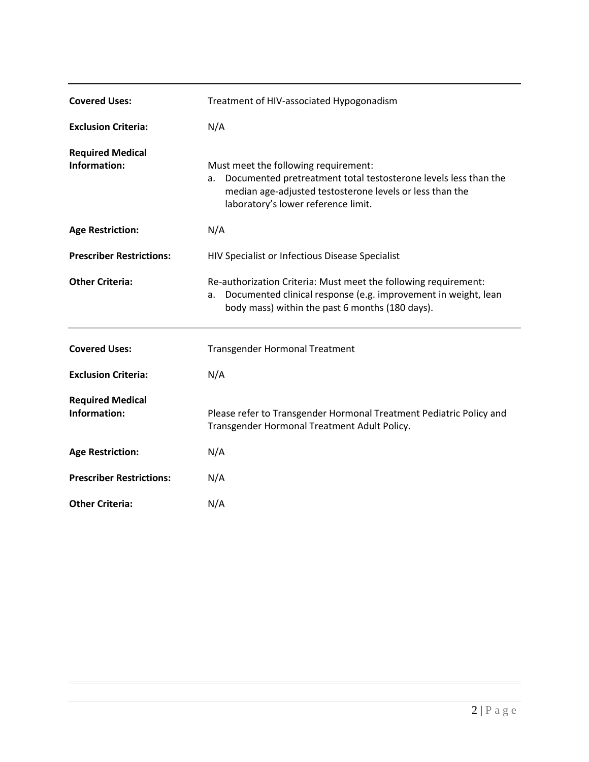| <b>Covered Uses:</b>                    | Treatment of HIV-associated Hypogonadism                                                                                                                                                                         |  |  |
|-----------------------------------------|------------------------------------------------------------------------------------------------------------------------------------------------------------------------------------------------------------------|--|--|
| <b>Exclusion Criteria:</b>              | N/A                                                                                                                                                                                                              |  |  |
| <b>Required Medical</b><br>Information: | Must meet the following requirement:<br>Documented pretreatment total testosterone levels less than the<br>a.<br>median age-adjusted testosterone levels or less than the<br>laboratory's lower reference limit. |  |  |
| <b>Age Restriction:</b>                 | N/A                                                                                                                                                                                                              |  |  |
| <b>Prescriber Restrictions:</b>         | HIV Specialist or Infectious Disease Specialist                                                                                                                                                                  |  |  |
| <b>Other Criteria:</b>                  | Re-authorization Criteria: Must meet the following requirement:<br>Documented clinical response (e.g. improvement in weight, lean<br>a.<br>body mass) within the past 6 months (180 days).                       |  |  |
| <b>Covered Uses:</b>                    | <b>Transgender Hormonal Treatment</b>                                                                                                                                                                            |  |  |
|                                         |                                                                                                                                                                                                                  |  |  |
| <b>Exclusion Criteria:</b>              | N/A                                                                                                                                                                                                              |  |  |
| <b>Required Medical</b><br>Information: | Please refer to Transgender Hormonal Treatment Pediatric Policy and<br>Transgender Hormonal Treatment Adult Policy.                                                                                              |  |  |
| <b>Age Restriction:</b>                 | N/A                                                                                                                                                                                                              |  |  |
| <b>Prescriber Restrictions:</b>         | N/A                                                                                                                                                                                                              |  |  |